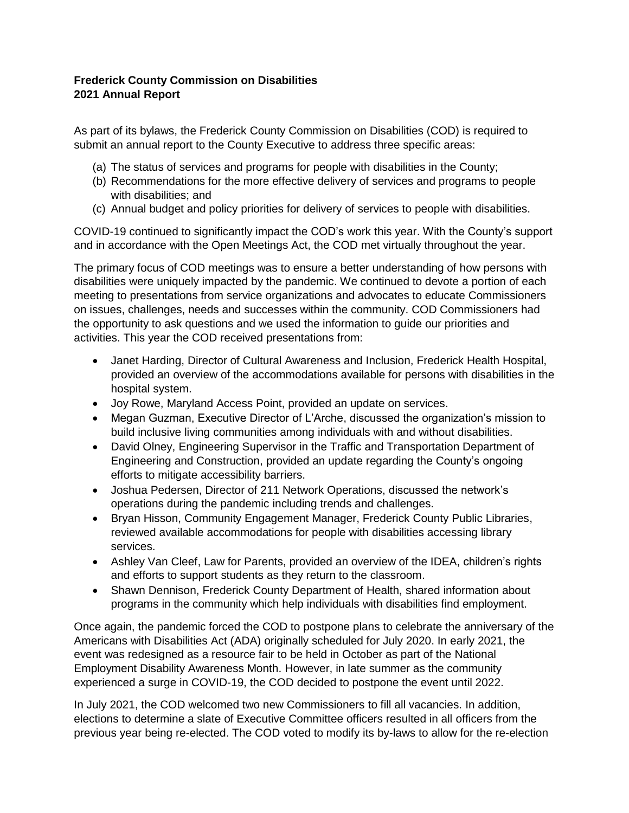## **Frederick County Commission on Disabilities 2021 Annual Report**

As part of its bylaws, the Frederick County Commission on Disabilities (COD) is required to submit an annual report to the County Executive to address three specific areas:

- (a) The status of services and programs for people with disabilities in the County;
- (b) Recommendations for the more effective delivery of services and programs to people with disabilities; and
- (c) Annual budget and policy priorities for delivery of services to people with disabilities.

COVID-19 continued to significantly impact the COD's work this year. With the County's support and in accordance with the Open Meetings Act, the COD met virtually throughout the year.

The primary focus of COD meetings was to ensure a better understanding of how persons with disabilities were uniquely impacted by the pandemic. We continued to devote a portion of each meeting to presentations from service organizations and advocates to educate Commissioners on issues, challenges, needs and successes within the community. COD Commissioners had the opportunity to ask questions and we used the information to guide our priorities and activities. This year the COD received presentations from:

- Janet Harding, Director of Cultural Awareness and Inclusion, Frederick Health Hospital, provided an overview of the accommodations available for persons with disabilities in the hospital system.
- Joy Rowe, Maryland Access Point, provided an update on services.
- Megan Guzman, Executive Director of L'Arche, discussed the organization's mission to build inclusive living communities among individuals with and without disabilities.
- David Olney, Engineering Supervisor in the Traffic and Transportation Department of Engineering and Construction, provided an update regarding the County's ongoing efforts to mitigate accessibility barriers.
- Joshua Pedersen, Director of 211 Network Operations, discussed the network's operations during the pandemic including trends and challenges.
- Bryan Hisson, Community Engagement Manager, Frederick County Public Libraries, reviewed available accommodations for people with disabilities accessing library services.
- Ashley Van Cleef, Law for Parents, provided an overview of the IDEA, children's rights and efforts to support students as they return to the classroom.
- Shawn Dennison, Frederick County Department of Health, shared information about programs in the community which help individuals with disabilities find employment.

Once again, the pandemic forced the COD to postpone plans to celebrate the anniversary of the Americans with Disabilities Act (ADA) originally scheduled for July 2020. In early 2021, the event was redesigned as a resource fair to be held in October as part of the National Employment Disability Awareness Month. However, in late summer as the community experienced a surge in COVID-19, the COD decided to postpone the event until 2022.

In July 2021, the COD welcomed two new Commissioners to fill all vacancies. In addition, elections to determine a slate of Executive Committee officers resulted in all officers from the previous year being re-elected. The COD voted to modify its by-laws to allow for the re-election